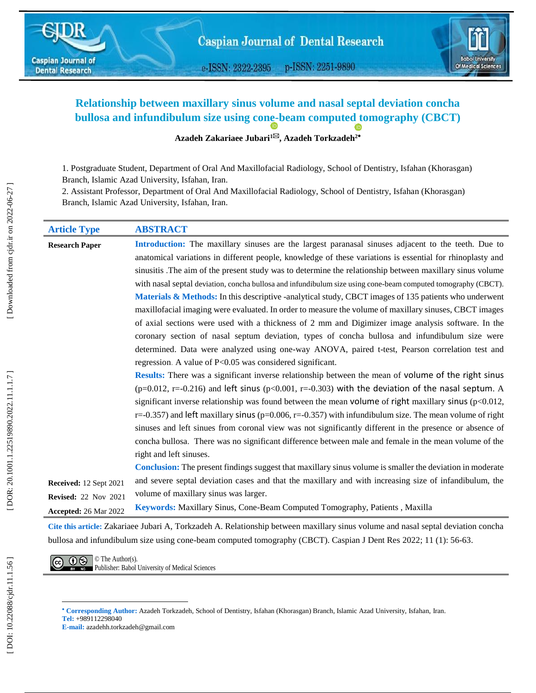e-ISSN: 2322-2395 p-ISSN: 2251-9890



# **Relationship between maxillary sinus volume and nasal septal deviation concha bullosa and infundibulum size using con[e](https://orcid.org/0000-0002-2067-5481) -beam compute[d t](https://orcid.org/0000-0002-4613-3808)omography (CBCT)**

**Azadeh Zakariaee Jubari 1 , [Azadeh Torkzadeh](https://cjdr.ir/search.php?slc_lang=en&sid=1&auth=Torkzadeh) 2**

1 . Postgraduate Student, Department of Oral And Maxillofacial Radiology, School of Dentistry, Isfahan (Khorasgan) Branch, Islamic Azad University, Isfahan, Iran.

2. Assistant Professor, Department of Oral And Maxillofacial Radiology, School of Dentistry, Isfahan (Khorasgan) Branch, Islamic Azad University, Isfahan, Iran.

| <b>Article Type</b>                                                                                    | <b>ABSTRACT</b>                                                                                                   |  |  |  |  |  |  |
|--------------------------------------------------------------------------------------------------------|-------------------------------------------------------------------------------------------------------------------|--|--|--|--|--|--|
| <b>Research Paper</b>                                                                                  | Introduction: The maxillary sinuses are the largest paranasal sinuses adjacent to the teeth. Due to               |  |  |  |  |  |  |
|                                                                                                        | anatomical variations in different people, knowledge of these variations is essential for rhinoplasty and         |  |  |  |  |  |  |
|                                                                                                        | sinusitis. The aim of the present study was to determine the relationship between maxillary sinus volume          |  |  |  |  |  |  |
|                                                                                                        | with nasal septal deviation, concha bullosa and infundibulum size using cone-beam computed tomography (CBCT).     |  |  |  |  |  |  |
|                                                                                                        | <b>Materials &amp; Methods:</b> In this descriptive -analytical study, CBCT images of 135 patients who underwent  |  |  |  |  |  |  |
| maxillofacial imaging were evaluated. In order to measure the volume of maxillary sinuses, CBCT images |                                                                                                                   |  |  |  |  |  |  |
|                                                                                                        | of axial sections were used with a thickness of 2 mm and Digimizer image analysis software. In the                |  |  |  |  |  |  |
|                                                                                                        | coronary section of nasal septum deviation, types of concha bullosa and infundibulum size were                    |  |  |  |  |  |  |
|                                                                                                        | determined. Data were analyzed using one-way ANOVA, paired t-test, Pearson correlation test and                   |  |  |  |  |  |  |
|                                                                                                        | regression. A value of P<0.05 was considered significant.                                                         |  |  |  |  |  |  |
|                                                                                                        | Results: There was a significant inverse relationship between the mean of volume of the right sinus               |  |  |  |  |  |  |
|                                                                                                        | $(p=0.012, r=-0.216)$ and left sinus $(p<0.001, r=-0.303)$ with the deviation of the nasal septum. A              |  |  |  |  |  |  |
|                                                                                                        | significant inverse relationship was found between the mean volume of right maxillary sinus ( $p<0.012$ ,         |  |  |  |  |  |  |
|                                                                                                        | $r=-0.357$ ) and left maxillary sinus ( $p=0.006$ , $r=-0.357$ ) with infundibulum size. The mean volume of right |  |  |  |  |  |  |
|                                                                                                        | sinuses and left sinues from coronal view was not significantly different in the presence or absence of           |  |  |  |  |  |  |
|                                                                                                        | concha bullosa. There was no significant difference between male and female in the mean volume of the             |  |  |  |  |  |  |
|                                                                                                        | right and left sinuses.                                                                                           |  |  |  |  |  |  |
|                                                                                                        | <b>Conclusion:</b> The present findings suggest that maxillary sinus volume is smaller the deviation in moderate  |  |  |  |  |  |  |
| Received: 12 Sept 2021                                                                                 | and severe septal deviation cases and that the maxillary and with increasing size of infandibulum, the            |  |  |  |  |  |  |
| <b>Revised:</b> 22 Nov 2021                                                                            | volume of maxillary sinus was larger.                                                                             |  |  |  |  |  |  |
| Accepted: 26 Mar 2022                                                                                  | Keywords: Maxillary Sinus, Cone-Beam Computed Tomography, Patients, Maxilla                                       |  |  |  |  |  |  |

**Cite this article:** Zakariaee Jubari A, Torkzadeh A. Relationship between maxillary sinus volume and nasal septal deviation concha bullosa and infundibulum size using cone-beam computed tomography (CBCT). Caspian J Dent Res 2022; 11 (1): 56-63.

 $\overline{(c)}$   $\overline{①}$   $\overline{③}$   $\overline{③}$  The Author(s). Publisher: Babol University of Medical Sciences

l

**Corresponding Author:** Azadeh Torkzadeh, School of Dentistry, Isfahan (Khorasgan) Branch, Islamic Azad University, Isfahan, Iran . **Tel :** +989112298040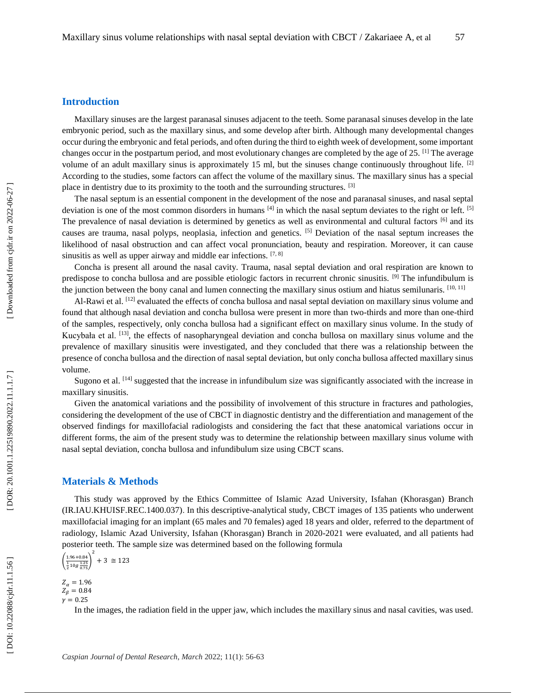## **Introduction**

Maxillary sinuses are the largest paranasal sinuses adjacent to the teeth. Some paranasal sinuses develop in the late embryonic period, such as the maxillary sinus, and some develop after birth. Although many developmental changes occur during the embryonic and fetal periods, and often during the third to eighth week of development, some important changes occur in the postpartum period, and most evolutionary changes are completed by the age of 25. [1] The average volume of an adult maxillary sinus is approximately 15 ml, but the sinuses change continuously throughout life. [2] According to the studies, some factors can affect the volume of the maxillary sinus. The maxillary sinus has a special place in dentistry due to its proximity to the tooth and the surrounding structures. [3]

The nasal septum is an essential component in the development of the nose and paranasal sinuses, and nasal septal deviation is one of the most common disorders in humans  $[4]$  in which the nasal septum deviates to the right or left.  $[5]$ The prevalence of nasal deviation is determined by genetics as well as environmental and cultural factors [6] and its causes are trauma, nasal polyps, neoplasia, infection and genetics.  $[5]$  Deviation of the nasal septum increases the likelihood of nasal obstruction and can affect vocal pronunciation, beauty and respiration. Moreover, it can cause sinusitis as well as upper airway and middle ear infections. [7, 8]

Concha is present all around the nasal cavity. Trauma, nasal septal deviation and oral respiration are known to predispose to concha bullosa and are possible etiologic factors in recurrent chronic sinusitis. [9] The infundibulum is the junction between the bony canal and lumen connecting the maxillary sinus ostium and hiatus semilunaris.  $[10, 11]$ 

Al-Rawi et al. <sup>[12]</sup> evaluated the effects of concha bullosa and nasal septal deviation on maxillary sinus volume and found that although nasal deviation and concha bullosa were present in more than two-thirds and more than one-third of the samples, respectively, only concha bullosa had a significant effect on maxillary sinus volume. In the study of Kucybała et al. [13], the effects of nasopharyngeal deviation and concha bullosa on maxillary sinus volume and the prevalence of maxillary sinusitis were investigated, and they concluded that there was a relationship between the presence of concha bullosa and the direction of nasal septal deviation, but only concha bullosa affected maxillary sinus volume.

Sugono et al. <sup>[14]</sup> suggested that the increase in infundibulum size was significantly associated with the increase in maxillary sinusitis.

Given the anatomical variations and the possibility of involvement of this structure in fractures and pathologies, considering the development of the use of CBCT in diagnostic dentistry and the differentiation and management of the observed findings for maxillofacial radiologists and considering the fact that these anatomical variations occur in different forms, the aim of the present study was to determine the relationship between maxillary sinus volume with nasal septal deviation, concha bullosa and infundibulum size using CBCT scans.

## **Materials & Methods**

This study was approved by the Ethics Committee of Islamic Azad University, Isfahan (Khorasgan) Branch (IR.IAU.KHUISF.REC.1400.037) . In this descriptive -analytical study, CBCT images of 135 patients who underwent maxillofacial imaging for an implant (65 males and 70 females) aged 18 years and older, referred to the department of radiology, Islamic Azad University, Isfahan (Khorasgan) Branch in 2020 -2021 were evaluated, and all patients had posterior teeth. The sample size was determined based on the following formula

$$
\left(\frac{1.96 + 0.84}{\frac{1}{2}10g\frac{1.25}{0.75}}\right)^2 + 3 \approx 123
$$

 $Z_{\alpha} = 1.96$ 

 $Z_{\beta} = 0.84$  $y = 0.25$ 

In the images, the radiation field in the upper jaw, which includes the maxillary sinus and nasal cavities, was used.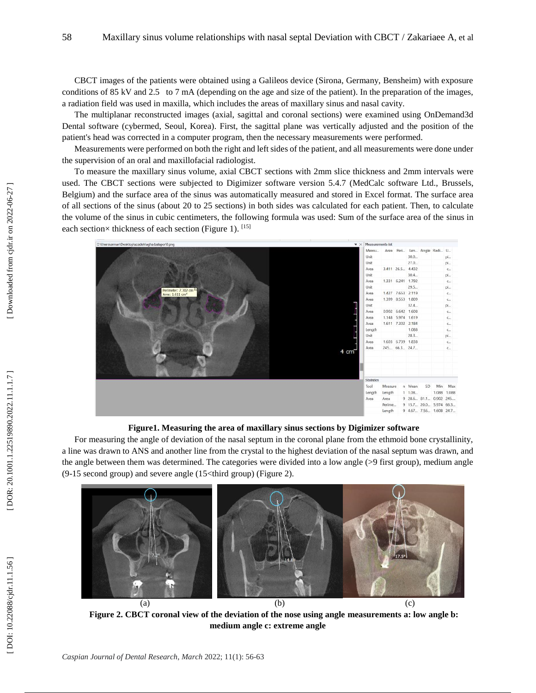CBCT images of the patients were obtained using a Galileos device (Sirona, Germany, Bensheim) with exposure conditions of 85 kV and 2.5 to 7 mA (depending on the age and size of the patient). In the preparation of the images, a radiation field was used in maxilla, which includes the areas of maxillary sinus and nasal cavity.

The multiplanar reconstructed images (axial, sagittal and coronal sections) were examined using OnDemand3d Dental software (cybermed, Seoul, Korea). First, the sagittal plane was vertically adjusted and the position of the patient's head was corrected in a computer program, then the necessary measurements were performed.

Measurements were performed on both the right and left sides of the patient, and all measurements were done under the supervision of an oral and maxillofacial radiologist.

To measure the maxillary sinus volume, axial CBCT sections with 2mm slice thickness and 2mm intervals were used. The CBCT sections were subjected to Digimizer software version 5.4.7 (MedCalc software Ltd., [Brussels,](https://www.google.com/search?q=Brussels&stick=H4sIAAAAAAAAAONgVuLUz9U3MCrKSyp7xGjCLfDyxz1hKe1Ja05eY1Tl4grOyC93zSvJLKkUEudig7J4pbi5ELp4FrFyOBWVFhen5hQDAAvgLGlPAAAA&sa=X&ved=2ahUKEwjw7eKx6eP2AhUxh_0HHafSAXEQzIcDKAB6BAgMEAE) Belgium) and the surface area of the sinus was automatically measured and stored in Excel format. The surface area of all sections of the sinus (about 20 to 25 sections) in both sides was calculated for each patient. Then, to calculate the volume of the sinus in cubic centimeters, the following formula was used: Sum of the surface area of the sinus in each section× thickness of each section (Figure 1). [15]



**Figure1. Measuring the area of maxillary sinus sections by Digimizer software**

For measuring the angle of deviation of the nasal septum in the coronal plane from the ethmoid bone crystallinity, a line was drawn to ANS and another line from the crystal to the highest deviation of the nasal septum was drawn, and the angle between them was determined. The categories were divided into a low angle (>9 first group), medium angle (9 -15 second group) and severe angle (15<third group) (Figure 2).



**Figure 2. CBCT coronal view of the deviation of the nose using angle measurements a: low angle b: medium angle c: extreme angle**

DOI: 10.22088/cjdr.11.1.56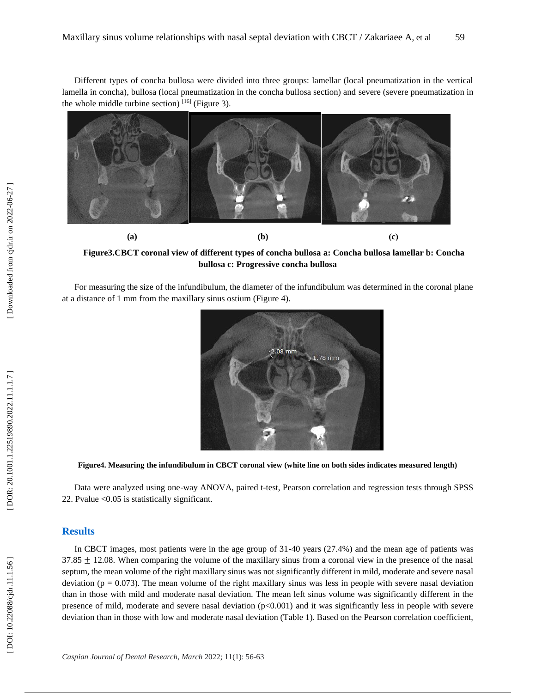Different types of concha bullosa were divided into three groups: lamellar (local pneumatization in the vertical lamella in concha), bullosa (local pneumatization in the concha bullosa section) and severe (severe pneumatization in the whole middle turbine section)  $[16]$  (Figure 3).



**Figure3.CBCT coronal view of different types of concha bullosa a: Concha bullosa lamellar b: Concha bullosa c: Progressive concha bullosa**

For measuring the size of the infundibulum, the diameter of the infundibulum was determined in the coronal plane at a distance of 1 mm from the maxillary sinus ostium (Figure 4).



**Figure4. Measuring the infundibulum in CBCT coronal view (white line on both sides indicates measured length)**

Data were analyzed using one -way ANOVA, paired t -test, Pearson correlation and regression tests through SPSS 22. Pvalue <0.05 is statistically significant.

#### **Results**

In CBCT images, most patients were in the age group of 31-40 years (27.4%) and the mean age of patients was 37.85  $\pm$  12.08. When comparing the volume of the maxillary sinus from a coronal view in the presence of the nasal septum, the mean volume of the right maxillary sinus was not significantly different in mild, moderate and severe nasal deviation ( $p = 0.073$ ). The mean volume of the right maxillary sinus was less in people with severe nasal deviation than in those with mild and moderate nasal deviation. The mean left sinus volume was significantly different in the presence of mild, moderate and severe nasal deviation  $(p<0.001)$  and it was significantly less in people with severe deviation than in those with low and moderate nasal deviation (Table 1). Based on the Pearson correlation coefficient,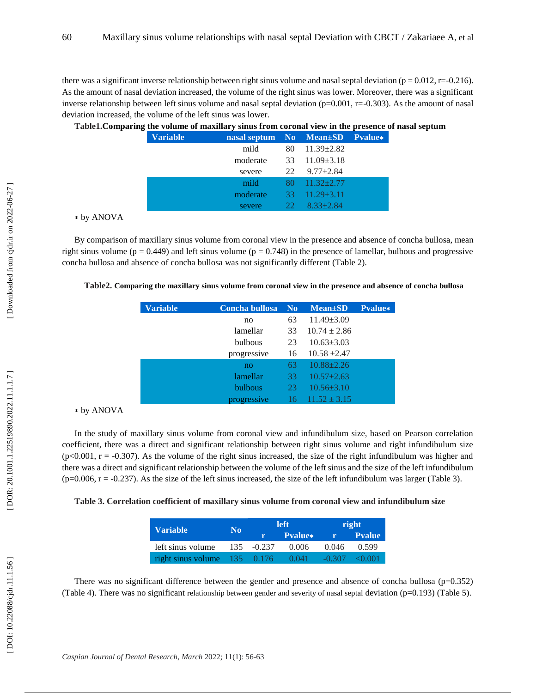there was a significant inverse relationship between right sinus volume and nasal septal deviation  $(p = 0.012, r = 0.216)$ . As the amount of nasal deviation increased, the volume of the right sinus was lower. Moreover, there was a significant inverse relationship between left sinus volume and nasal septal deviation  $(p=0.001, r=-0.303)$ . As the amount of nasal deviation increased, the volume of the left sinus was lower.

| л. | - |                 |          |                                 |                         |  |
|----|---|-----------------|----------|---------------------------------|-------------------------|--|
|    |   | <b>Variable</b> |          | nasal septum No Mean±SD Pvalue* |                         |  |
|    |   |                 | mild     | 80                              | $11.39 \pm 2.82$        |  |
|    |   |                 | moderate | 33                              | $11.09 \pm 3.18$        |  |
|    |   |                 | severe   | 22                              | $9.77 \pm 2.84$         |  |
|    |   |                 | mild     |                                 | $80 \quad 11.32 + 2.77$ |  |
|    |   |                 | moderate | $-33$                           | $11.29 + 3.11$          |  |
|    |   |                 | severe   | 22.                             | $8.33 + 2.84$           |  |
|    |   |                 |          |                                 |                         |  |

|  | Table1. Comparing the volume of maxillary sinus from coronal view in the presence of nasal septum |  |  |  |  |
|--|---------------------------------------------------------------------------------------------------|--|--|--|--|
|--|---------------------------------------------------------------------------------------------------|--|--|--|--|

| * by ANOVA |  |
|------------|--|
|------------|--|

By comparison of maxillary sinus volume from coronal view in the presence and absence of concha bullosa, mean right sinus volume ( $p = 0.449$ ) and left sinus volume ( $p = 0.748$ ) in the presence of lamellar, bulbous and progressive concha bullosa and absence of concha bullosa was not significantly different (Table 2).

|  | Table2. Comparing the maxillary sinus volume from coronal view in the presence and absence of concha bullosa |  |  |  |
|--|--------------------------------------------------------------------------------------------------------------|--|--|--|
|  |                                                                                                              |  |  |  |

| <b>Variable</b> | Concha bullosa | N <sub>0</sub> | $Mean \pm SD$    | <b>Pvalue*</b> |
|-----------------|----------------|----------------|------------------|----------------|
|                 | no             | 63             | $11.49 \pm 3.09$ |                |
|                 | lamellar       | 33             | $10.74 \pm 2.86$ |                |
|                 | <b>bulbous</b> | 23             | $10.63 + 3.03$   |                |
|                 | progressive    | 16             | $10.58 + 2.47$   |                |
|                 | no             | 63             | $10.88 + 2.26$   |                |
|                 | lamellar       | 33             | $10.57 + 2.63$   |                |
|                 | <b>bulbous</b> | 23             | $10.56 + 3.10$   |                |
|                 | progressive    | 16             | $11.52 + 3.15$   |                |

∗ by ANOVA

In the study of maxillary sinus volume from coronal view and infundibulum size, based on Pearson correlation coefficient, there was a direct and significant relationship between right sinus volume and right infundibulum size  $(p<0.001, r = -0.307)$ . As the volume of the right sinus increased, the size of the right infundibulum was higher and there was a direct and significant relationship between the volume of the left sinus and the size of the left infundibulum  $(p=0.006, r = -0.237)$ . As the size of the left sinus increased, the size of the left infundibulum was larger (Table 3).

#### **Table 3. Correlation coefficient of maxillary sinus volume from coronal view and infundibulum size**

| <b>Variable</b>                | No <sup>t</sup> |               | <b>left</b>    | right      |                |  |
|--------------------------------|-----------------|---------------|----------------|------------|----------------|--|
|                                |                 |               | <b>Pyalue*</b> | <b>TPA</b> | <b>P</b> value |  |
| left sinus volume              |                 | $135 - 0.237$ | 0.006          | 0.046      | 0.599          |  |
| right sinus volume $135$ 0.176 |                 |               | 0.041          | $-0.307$   | $\leq 0.001$   |  |

There was no significant difference between the gender and presence and absence of concha bullosa (p=0.352) (Table 4). There was no significant relationship between gender and severity of nasal septal deviation (p=0.193) (Table 5) .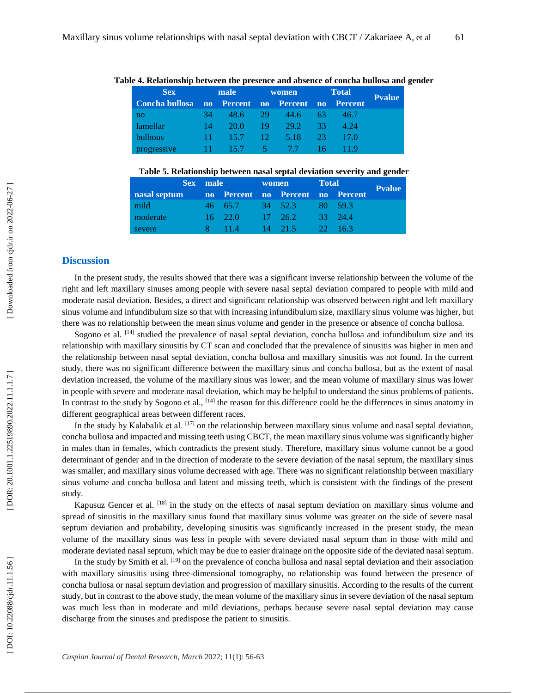| <b>Sex</b><br>male                              |        | women         |        | <b>Total</b>  |       |       |               |
|-------------------------------------------------|--------|---------------|--------|---------------|-------|-------|---------------|
| Concha bullosa no Percent no Percent no Percent |        |               |        |               |       |       | <b>Pvalue</b> |
| no                                              | 34     | 48.6 29       |        | $-44.6$       | 63. L | 46.7  |               |
| lamellar                                        | 14     | 20.0          | $19 -$ | 29.2          | -33.  | -4.24 |               |
| bulbous                                         | $11 -$ | $\sqrt{15.7}$ | -12.   | $\sqrt{5.18}$ | -23.  | 17.0  |               |
| progressive                                     | $11 -$ | 15.7          |        | $5 - 7.7$     | 16    |       |               |

#### **Table 4. Relationship between the presence and absence of concha bullosa and gender**

**Table 5. Relationship between nasal septal deviation severity and gender**

|                                               | Sex male |                 | <b>Total</b><br>women |                         |  |              |               |
|-----------------------------------------------|----------|-----------------|-----------------------|-------------------------|--|--------------|---------------|
| nasal septum no Percent no Percent no Percent |          |                 |                       |                         |  |              | <b>Pvalue</b> |
| mild                                          |          |                 |                       | 46 65.7 34 52.3 80 59.3 |  |              |               |
| moderate                                      |          | $16 \quad 22.0$ |                       | $17 \quad 26.2$         |  | 33 24.4      |               |
| severe                                        |          | 8 11.4          |                       | $14$ 21.5               |  | $-22 - 16.3$ |               |

#### **Discussion**

In the present study, the results showed that there was a significant inverse relationship between the volume of the right and left maxillary sinuses among people with severe nasal septal deviation compared to people with mild and moderate nasal deviation. Besides, a direct and significant relationship was observed between right and left maxillary sinus volume and infundibulum size so that with increasing infundibulum size, maxillary sinus volume was higher, but there was no relationship between the mean sinus volume and gender in the presence or absence of concha bullosa.

Sogono et al. <sup>[14]</sup> studied the prevalence of nasal septal deviation, concha bullosa and infundibulum size and its relationship with maxillary sinusitis by CT scan and concluded that the prevalence of sinusitis was higher in men and the relationship between nasal septal deviation, concha bullosa and maxillary sinusitis was not found. In the current study, there was no significant difference between the maxillary sinus and concha bullosa, but as the extent of nasal deviation increased, the volume of the maxillary sinus was lower, and the mean volume of maxillary sinus was lower in people with severe and moderate nasal deviation, which may be helpful to understand the sinus problems of patients. In contrast to the study by Sogono et al.,  $^{[14]}$  the reason for this difference could be the differences in sinus anatomy in different geographical areas between different races.

In the study by Kalabalık et al. [17] on the relationship between maxillary sinus volume and nasal septal deviation, concha bullosa and impacted and missing teeth using CBCT, the mean maxillary sinus volume was significantly higher in males than in females, which contradicts the present study. Therefore, maxillary sinus volume cannot be a good determinant of gender and in the direction of moderate to the severe deviation of the nasal septum, the maxillary sinus was smaller, and maxillary sinus volume decreased with age. There was no significant relationship between maxillary sinus volume and concha bullosa and latent and missing teeth, which is consistent with the findings of the present study.

Kapusuz Gencer et al. [18] in the study on the effects of nasal septum deviation on maxillary sinus volume and spread of sinusitis in the maxillary sinus found that maxillary sinus volume was greater on the side of severe nasal septum deviation and probability, developing sinusitis was significantly increased in the present study, the mean volume of the maxillary sinus was less in people with severe deviated nasal septum than in those with mild and moderate deviated nasal septum, which may be due to easier drainage on the opposite side of the deviated nasal septum.

In the study by Smith et al. <sup>[19]</sup> on the prevalence of concha bullosa and nasal septal deviation and their association with maxillary sinusitis using three -dimensional tomography, no relationship was found between the presence of concha bullosa or nasal septum deviation and progression of maxillary sinusitis. According to the results of the current study, but in contrast to the above study, the mean volume of the maxillary sinus in severe deviation of the nasal septum was much less than in moderate and mild deviations, perhaps because severe nasal septal deviation may cause discharge from the sinuses and predispose the patient to sinusitis.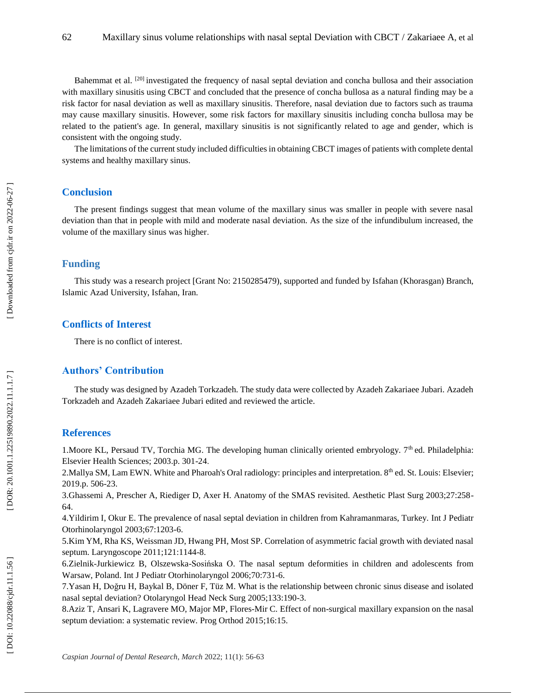Bahemmat et al. [20] investigated the frequency of nasal septal deviation and concha bullosa and their association with maxillary sinusitis using CBCT and concluded that the presence of concha bullosa as a natural finding may be a risk factor for nasal deviation as well as maxillary sinusitis. Therefore, nasal deviation due to factors such as trauma may cause maxillary sinusitis. However, some risk factors for maxillary sinusitis including concha bullosa may be related to the patient's age. In general, maxillary sinusitis is not significantly related to age and gender, which is consistent with the ongoing study.

The limitations of the current study included difficulties in obtaining CBCT images of patients with complete dental systems and healthy maxillary sinus .

## **Conclusion**

The present findings suggest that mean volume of the maxillary sinus was smaller in people with severe nasal deviation than that in people with mild and moderate nasal deviation. As the size of the infundibulum increased, the volume of the maxillary sinus was higher .

### **Funding**

This study was a research project [Grant No: 2150285479), supported and funded by Isfahan (Khorasgan) Branch, Islamic Azad University, Isfahan, Iran.

## **Conflicts of Interest**

There is no conflict of interest.

# **Authors' Contribution**

The study was designed by Azadeh Torkzadeh. The study data were collected by Azadeh Zakariaee Jubari. Azadeh Torkzadeh and Azadeh Zakariaee Jubari edited and reviewed the article.

## **References**

1. Moore KL, Persaud TV, Torchia MG. The developing human clinically oriented embryology. 7<sup>th</sup> ed. Philadelphia: Elsevier Health Sciences; 2003.p. 301 -24 .

2. Mallya SM, Lam EWN. White and Pharoah's Oral radiology: principles and interpretation. 8<sup>th</sup> ed. St. Louis: Elsevier; 2019.p. 506 -23.

3 .Ghassemi A, Prescher A, Riediger D, Axer H. Anatomy of the SMAS revisited. Aesthetic Plast Surg 2003;27:258 -

64. 4[.Yildirim I,](https://www.ncbi.nlm.nih.gov/pubmed/?term=Yildirim%20I%5BAuthor%5D&cauthor=true&cauthor_uid=14597371) [Okur E.](https://www.ncbi.nlm.nih.gov/pubmed/?term=Okur%20E%5BAuthor%5D&cauthor=true&cauthor_uid=14597371) The prevalence of nasal septal deviation in children from Kahramanmaras, Turkey. [Int J Pediatr](https://www.ncbi.nlm.nih.gov/pubmed/14597371)  [Otorhinolaryngol](https://www.ncbi.nlm.nih.gov/pubmed/14597371) 2003;67:1203 -6.

5 [.Kim YM,](https://www.ncbi.nlm.nih.gov/pubmed/?term=Kim%20YM%5BAuthor%5D&cauthor=true&cauthor_uid=21495046) [Rha KS,](https://www.ncbi.nlm.nih.gov/pubmed/?term=Rha%20KS%5BAuthor%5D&cauthor=true&cauthor_uid=21495046) [Weissman JD,](https://www.ncbi.nlm.nih.gov/pubmed/?term=Weissman%20JD%5BAuthor%5D&cauthor=true&cauthor_uid=21495046) [Hwang PH,](https://www.ncbi.nlm.nih.gov/pubmed/?term=Hwang%20PH%5BAuthor%5D&cauthor=true&cauthor_uid=21495046) [Most SP.](https://www.ncbi.nlm.nih.gov/pubmed/?term=Most%20SP%5BAuthor%5D&cauthor=true&cauthor_uid=21495046) Correlation of asymmetric facial growth with deviated nasal septum. [Laryngoscope](https://www.ncbi.nlm.nih.gov/pubmed/21495046) 2011;121:1144 -8.

6 .Zielnik [-Jurkiewicz B,](https://www.ncbi.nlm.nih.gov/pubmed/?term=Zielnik-Jurkiewicz%20B%5BAuthor%5D&cauthor=true&cauthor_uid=16448706) Olszewska [-Sosińska O.](https://www.ncbi.nlm.nih.gov/pubmed/?term=Olszewska-Sosi%C5%84ska%20O%5BAuthor%5D&cauthor=true&cauthor_uid=16448706) The nasal septum deformities in children and adolescents from Warsaw, Poland. [Int J Pediatr Otorhinolaryngol](https://www.ncbi.nlm.nih.gov/pubmed/16448706) 2006;70:731 -6.

7 [.Yasan H,](https://www.ncbi.nlm.nih.gov/pubmed/?term=Yasan%20H%5BAuthor%5D&cauthor=true&cauthor_uid=16087012) [Doğru H,](https://www.ncbi.nlm.nih.gov/pubmed/?term=Do%C4%9Fru%20H%5BAuthor%5D&cauthor=true&cauthor_uid=16087012) [Baykal B,](https://www.ncbi.nlm.nih.gov/pubmed/?term=Baykal%20B%5BAuthor%5D&cauthor=true&cauthor_uid=16087012) [Döner F,](https://www.ncbi.nlm.nih.gov/pubmed/?term=D%C3%B6ner%20F%5BAuthor%5D&cauthor=true&cauthor_uid=16087012) [Tüz M.](https://www.ncbi.nlm.nih.gov/pubmed/?term=T%C3%BCz%20M%5BAuthor%5D&cauthor=true&cauthor_uid=16087012) What is the relationship between chronic sinus disease and isolated nasal septal deviation? [Otolaryngol Head Neck Surg](https://www.ncbi.nlm.nih.gov/pubmed/16087012) 2005;133:190 -3.

8 [.Aziz T,](https://www.ncbi.nlm.nih.gov/pubmed/?term=Aziz%20T%5BAuthor%5D&cauthor=true&cauthor_uid=26061988) [Ansari K,](https://www.ncbi.nlm.nih.gov/pubmed/?term=Ansari%20K%5BAuthor%5D&cauthor=true&cauthor_uid=26061988) [Lagravere MO,](https://www.ncbi.nlm.nih.gov/pubmed/?term=Lagravere%20MO%5BAuthor%5D&cauthor=true&cauthor_uid=26061988) [Major MP,](https://www.ncbi.nlm.nih.gov/pubmed/?term=Major%20MP%5BAuthor%5D&cauthor=true&cauthor_uid=26061988) Flores [-Mir C.](https://www.ncbi.nlm.nih.gov/pubmed/?term=Flores-Mir%20C%5BAuthor%5D&cauthor=true&cauthor_uid=26061988) Effect of non -surgical maxillary expansion on the nasal septum deviation: a systematic review. [Prog Orthod](https://www.ncbi.nlm.nih.gov/pubmed/26061988) 2015;16:15.